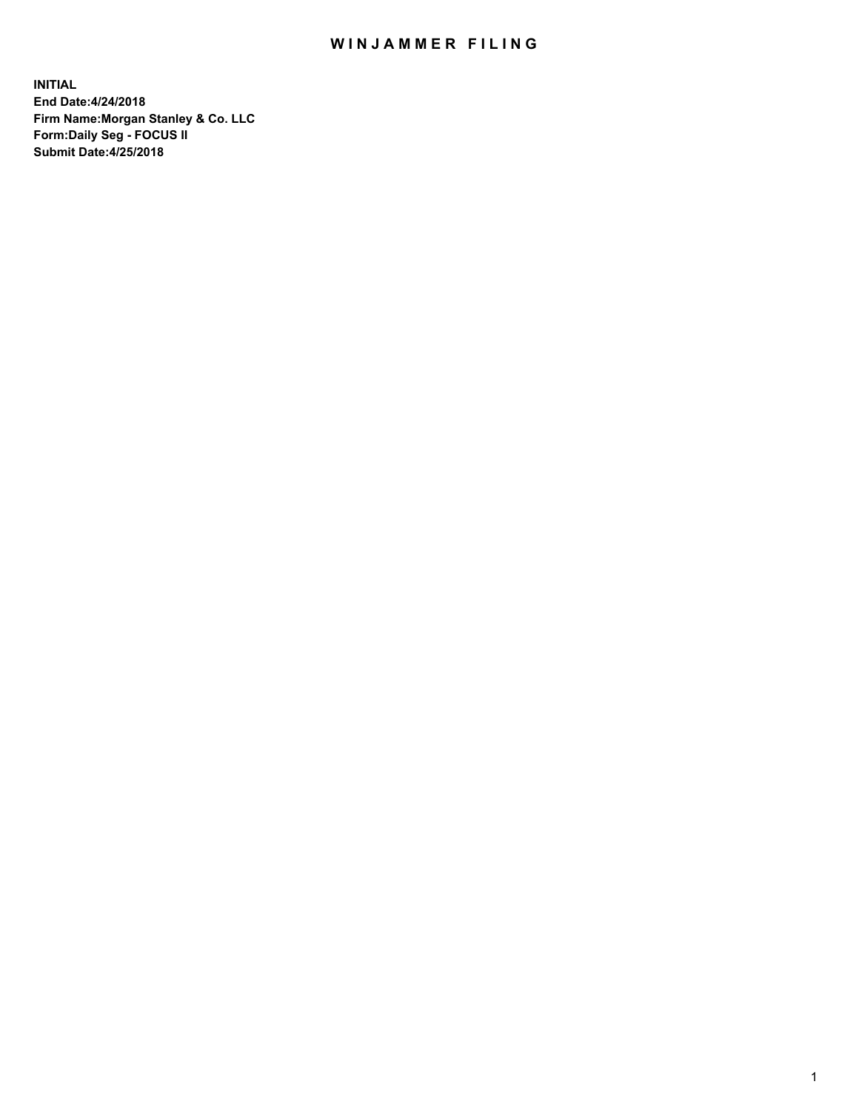## WIN JAMMER FILING

**INITIAL End Date:4/24/2018 Firm Name:Morgan Stanley & Co. LLC Form:Daily Seg - FOCUS II Submit Date:4/25/2018**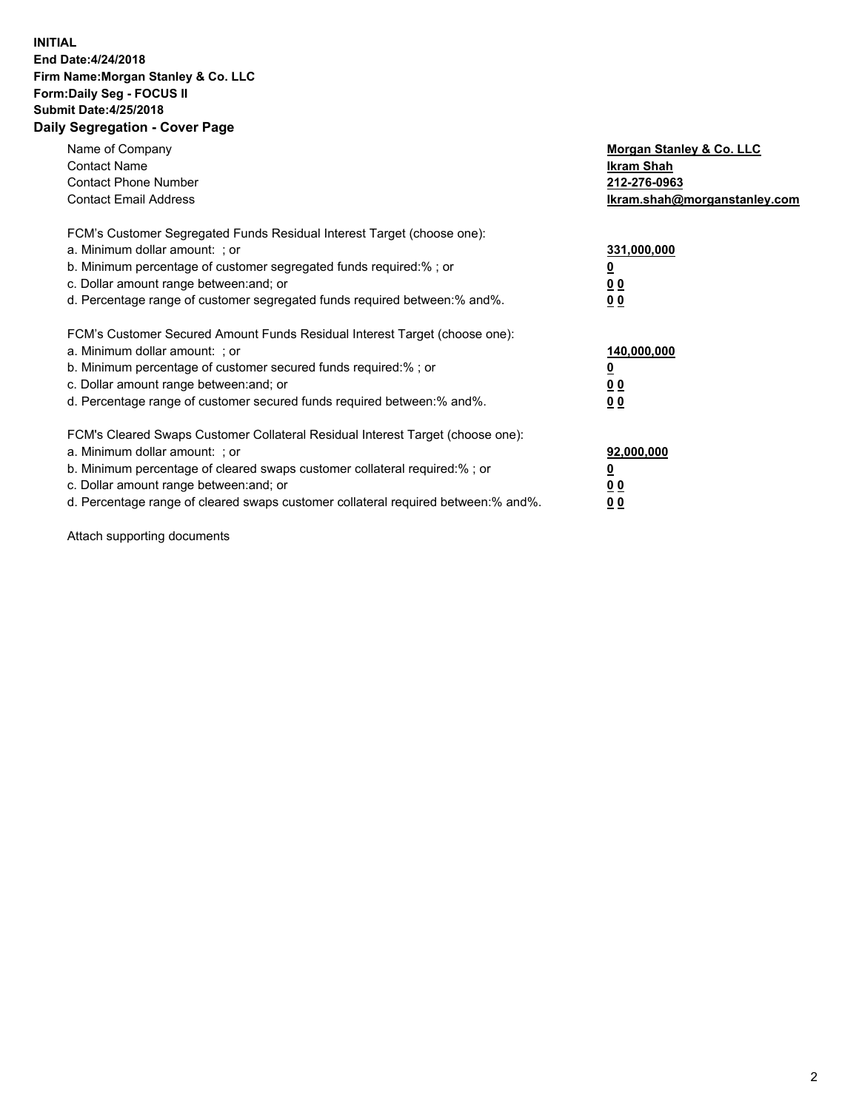## **INITIAL End Date:4/24/2018 Firm Name:Morgan Stanley & Co. LLC Form:Daily Seg - FOCUS II Submit Date:4/25/2018 Daily Segregation - Cover Page**

| Name of Company<br><b>Contact Name</b><br><b>Contact Phone Number</b><br><b>Contact Email Address</b>                                                                                                                                                                                                                          | Morgan Stanley & Co. LLC<br>Ikram Shah<br>212-276-0963<br>lkram.shah@morganstanley.com |
|--------------------------------------------------------------------------------------------------------------------------------------------------------------------------------------------------------------------------------------------------------------------------------------------------------------------------------|----------------------------------------------------------------------------------------|
| FCM's Customer Segregated Funds Residual Interest Target (choose one):<br>a. Minimum dollar amount: ; or<br>b. Minimum percentage of customer segregated funds required:%; or<br>c. Dollar amount range between: and; or<br>d. Percentage range of customer segregated funds required between:% and%.                          | 331,000,000<br><u>0</u><br>0 <sub>0</sub><br>00                                        |
| FCM's Customer Secured Amount Funds Residual Interest Target (choose one):<br>a. Minimum dollar amount: ; or<br>b. Minimum percentage of customer secured funds required:%; or<br>c. Dollar amount range between: and; or<br>d. Percentage range of customer secured funds required between:% and%.                            | 140,000,000<br>0 <sub>0</sub><br>0 <sub>0</sub>                                        |
| FCM's Cleared Swaps Customer Collateral Residual Interest Target (choose one):<br>a. Minimum dollar amount: ; or<br>b. Minimum percentage of cleared swaps customer collateral required:% ; or<br>c. Dollar amount range between: and; or<br>d. Percentage range of cleared swaps customer collateral required between:% and%. | 92,000,000<br>0 <sub>0</sub><br><u>00</u>                                              |

Attach supporting documents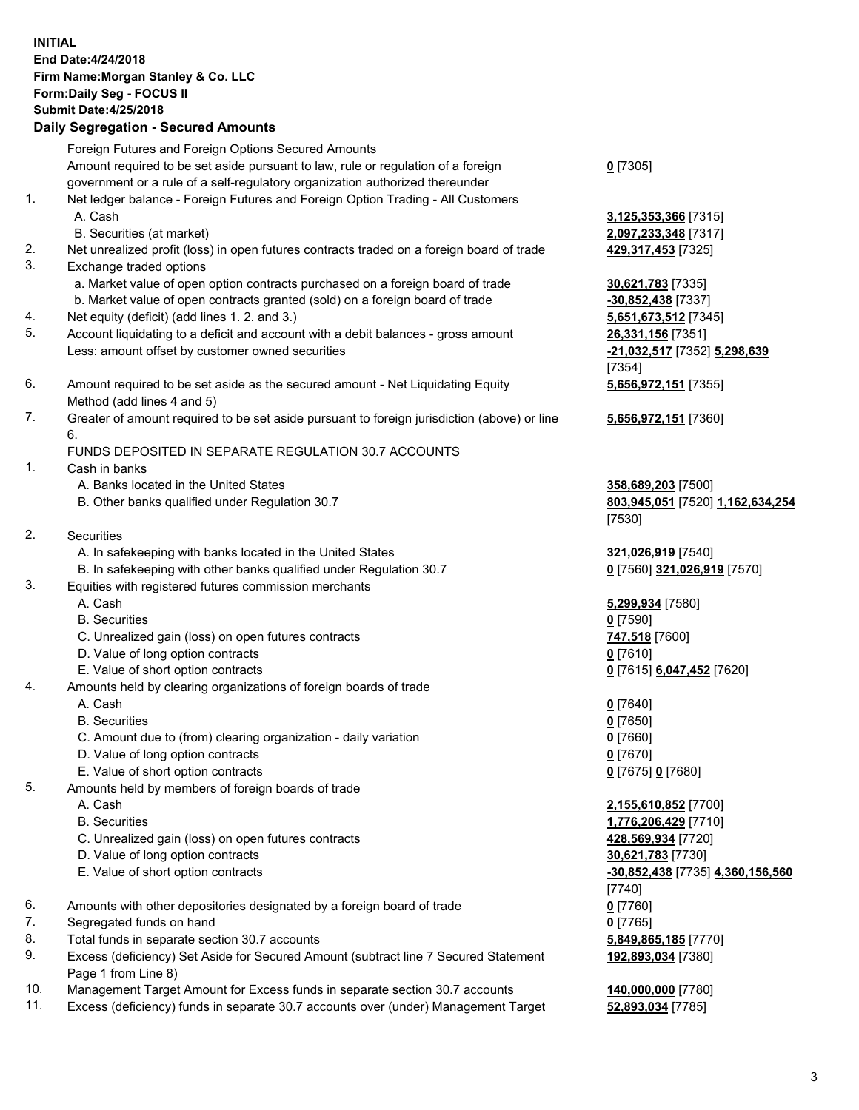## **INITIAL End Date:4/24/2018 Firm Name:Morgan Stanley & Co. LLC Form:Daily Seg - FOCUS II Submit Date:4/25/2018 Daily Segregation - Secured Amounts**

Foreign Futures and Foreign Options Secured Amounts Amount required to be set aside pursuant to law, rule or regulation of a foreign government or a rule of a self-regulatory organization authorized thereunder

- 1. Net ledger balance Foreign Futures and Foreign Option Trading All Customers A. Cash **3,125,353,366** [7315]
	- B. Securities (at market) **2,097,233,348** [7317]
- 2. Net unrealized profit (loss) in open futures contracts traded on a foreign board of trade **429,317,453** [7325]
- 3. Exchange traded options
	- a. Market value of open option contracts purchased on a foreign board of trade **30,621,783** [7335]
	- b. Market value of open contracts granted (sold) on a foreign board of trade **-30,852,438** [7337]
- 4. Net equity (deficit) (add lines 1. 2. and 3.) **5,651,673,512** [7345]
- 5. Account liquidating to a deficit and account with a debit balances gross amount **26,331,156** [7351] Less: amount offset by customer owned securities **-21,032,517** [7352] **5,298,639**
- 6. Amount required to be set aside as the secured amount Net Liquidating Equity Method (add lines 4 and 5)
- 7. Greater of amount required to be set aside pursuant to foreign jurisdiction (above) or line 6.

## FUNDS DEPOSITED IN SEPARATE REGULATION 30.7 ACCOUNTS

- 1. Cash in banks
	- A. Banks located in the United States **358,689,203** [7500]
	- B. Other banks qualified under Regulation 30.7 **803,945,051** [7520] **1,162,634,254**
- 2. Securities
	- A. In safekeeping with banks located in the United States **321,026,919** [7540]
	- B. In safekeeping with other banks qualified under Regulation 30.7 **0** [7560] **321,026,919** [7570]
- 3. Equities with registered futures commission merchants
	-
	-
	- C. Unrealized gain (loss) on open futures contracts **747,518** [7600]
	- D. Value of long option contracts **0** [7610]
- E. Value of short option contracts **0** [7615] **6,047,452** [7620]
- 4. Amounts held by clearing organizations of foreign boards of trade
	-
	-
	- C. Amount due to (from) clearing organization daily variation **0** [7660]
	- D. Value of long option contracts **0** [7670]
	- E. Value of short option contracts **0** [7675] **0** [7680]
- 5. Amounts held by members of foreign boards of trade
	-
	-
	- C. Unrealized gain (loss) on open futures contracts **428,569,934** [7720]
	- D. Value of long option contracts **30,621,783** [7730]
	- E. Value of short option contracts **-30,852,438** [7735] **4,360,156,560**
- 6. Amounts with other depositories designated by a foreign board of trade **0** [7760]
- 7. Segregated funds on hand **0** [7765]
- 8. Total funds in separate section 30.7 accounts **5,849,865,185** [7770]
- 9. Excess (deficiency) Set Aside for Secured Amount (subtract line 7 Secured Statement Page 1 from Line 8)
- 10. Management Target Amount for Excess funds in separate section 30.7 accounts **140,000,000** [7780]
- 11. Excess (deficiency) funds in separate 30.7 accounts over (under) Management Target **52,893,034** [7785]

**0** [7305]

[7354] **5,656,972,151** [7355]

**5,656,972,151** [7360]

[7530]

 A. Cash **5,299,934** [7580] B. Securities **0** [7590]

 A. Cash **0** [7640] B. Securities **0** [7650]

 A. Cash **2,155,610,852** [7700] B. Securities **1,776,206,429** [7710] [7740] **192,893,034** [7380]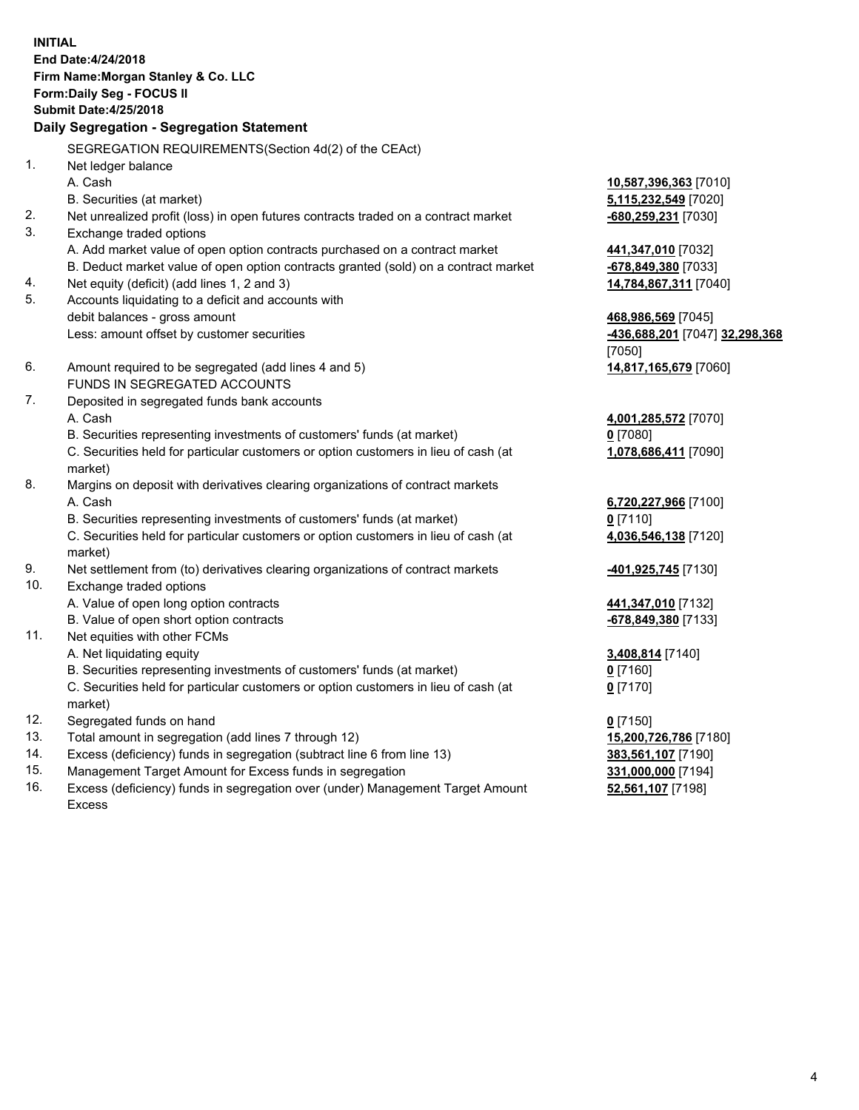**INITIAL End Date:4/24/2018 Firm Name:Morgan Stanley & Co. LLC Form:Daily Seg - FOCUS II Submit Date:4/25/2018 Daily Segregation - Segregation Statement** SEGREGATION REQUIREMENTS(Section 4d(2) of the CEAct) 1. Net ledger balance A. Cash **10,587,396,363** [7010] B. Securities (at market) **5,115,232,549** [7020] 2. Net unrealized profit (loss) in open futures contracts traded on a contract market **-680,259,231** [7030] 3. Exchange traded options A. Add market value of open option contracts purchased on a contract market **441,347,010** [7032] B. Deduct market value of open option contracts granted (sold) on a contract market **-678,849,380** [7033] 4. Net equity (deficit) (add lines 1, 2 and 3) **14,784,867,311** [7040] 5. Accounts liquidating to a deficit and accounts with debit balances - gross amount **468,986,569** [7045] Less: amount offset by customer securities **-436,688,201** [7047] **32,298,368** [7050] 6. Amount required to be segregated (add lines 4 and 5) **14,817,165,679** [7060] FUNDS IN SEGREGATED ACCOUNTS 7. Deposited in segregated funds bank accounts A. Cash **4,001,285,572** [7070] B. Securities representing investments of customers' funds (at market) **0** [7080] C. Securities held for particular customers or option customers in lieu of cash (at market) **1,078,686,411** [7090] 8. Margins on deposit with derivatives clearing organizations of contract markets A. Cash **6,720,227,966** [7100] B. Securities representing investments of customers' funds (at market) **0** [7110] C. Securities held for particular customers or option customers in lieu of cash (at market) **4,036,546,138** [7120] 9. Net settlement from (to) derivatives clearing organizations of contract markets **-401,925,745** [7130] 10. Exchange traded options A. Value of open long option contracts **441,347,010** [7132] B. Value of open short option contracts **and the set of open short option contracts -678,849,380** [7133] 11. Net equities with other FCMs A. Net liquidating equity **3,408,814** [7140] B. Securities representing investments of customers' funds (at market) **0** [7160] C. Securities held for particular customers or option customers in lieu of cash (at market) **0** [7170] 12. Segregated funds on hand **0** [7150] 13. Total amount in segregation (add lines 7 through 12) **15,200,726,786** [7180] 14. Excess (deficiency) funds in segregation (subtract line 6 from line 13) **383,561,107** [7190] 15. Management Target Amount for Excess funds in segregation **331,000,000** [7194]

16. Excess (deficiency) funds in segregation over (under) Management Target Amount Excess

**52,561,107** [7198]